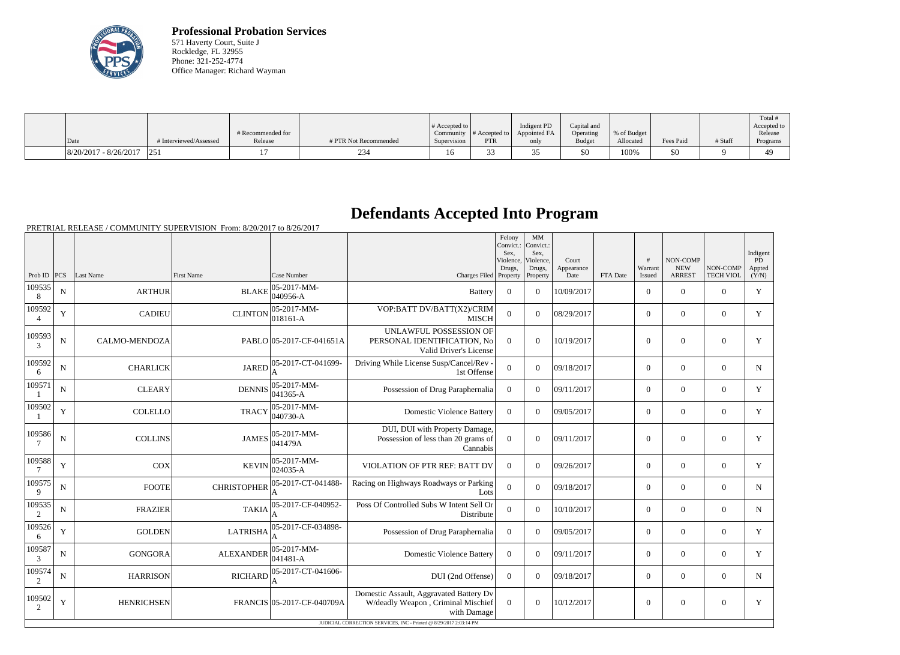

**Professional Probation Services** 571 Haverty Court, Suite J Rockledge, FL 32955 Phone: 321-252-4774 Office Manager: Richard Wayman

| Date                    | # Interviewed/Assessed | # Recommended for<br>Release | # PTR Not Recommended | # Accepted to<br>Supervision | Community $\#$ Accepted to<br>PTR | Indigent PD<br>Appointed FA<br>only | Capital and<br>Operating<br><b>Budget</b> | % of Budget<br>Allocated | Fees Paid | # Staff | Total<br>Accepted to<br>Release<br>Programs |
|-------------------------|------------------------|------------------------------|-----------------------|------------------------------|-----------------------------------|-------------------------------------|-------------------------------------------|--------------------------|-----------|---------|---------------------------------------------|
|                         |                        |                              |                       |                              |                                   |                                     |                                           |                          |           |         |                                             |
| $8/20/2017 - 8/26/2017$ |                        |                              |                       |                              |                                   | $\sim$ $-$                          | \$0                                       | 100%                     | \$0       |         | 49                                          |

## **Defendants Accepted Into Program**

PRETRIAL RELEASE / COMMUNITY SUPERVISION From: 8/20/2017 to 8/26/2017

|                          |             |                   |                    |                                 |                                                                                              | Felony<br>Convict.:<br>Sex.<br>Violence, | MM<br>Convict.:<br>Sex.<br>Violence, | Court              |          | #                 | NON-COMP                    |                              | Indigent<br>$\overline{PD}$ |
|--------------------------|-------------|-------------------|--------------------|---------------------------------|----------------------------------------------------------------------------------------------|------------------------------------------|--------------------------------------|--------------------|----------|-------------------|-----------------------------|------------------------------|-----------------------------|
| Prob ID $ PCS $          |             | Last Name         | <b>First Name</b>  | Case Number                     | Charges Filed Property                                                                       | Drugs,                                   | Drugs,<br>Property                   | Appearance<br>Date | FTA Date | Warrant<br>Issued | <b>NEW</b><br><b>ARREST</b> | NON-COMP<br><b>TECH VIOL</b> | Appted<br>(Y/N)             |
| 109535<br>8              | $\mathbf N$ | <b>ARTHUR</b>     | <b>BLAKE</b>       | 05-2017-MM-<br>040956-A         | <b>Battery</b>                                                                               | $\boldsymbol{0}$                         | $\Omega$                             | 10/09/2017         |          | $\overline{0}$    | $\theta$                    | $\Omega$                     | Y                           |
| 109592<br>$\overline{4}$ | Y           | <b>CADIEU</b>     | <b>CLINTON</b>     | $ 05-2017-MM-$<br>$ 018161 - A$ | VOP:BATT DV/BATT(X2)/CRIM<br><b>MISCH</b>                                                    | $\overline{0}$                           | $\Omega$                             | 08/29/2017         |          | $\overline{0}$    | $\theta$                    | $\overline{0}$               | Y                           |
| 109593<br>3              | ${\bf N}$   | CALMO-MENDOZA     |                    | PABLO 05-2017-CF-041651A        | UNLAWFUL POSSESSION OF<br>PERSONAL IDENTIFICATION, No<br>Valid Driver's License              | $\overline{0}$                           | $\overline{0}$                       | 10/19/2017         |          | $\mathbf{0}$      | $\overline{0}$              | $\overline{0}$               | Y                           |
| 109592<br>6              | $\mathbf N$ | <b>CHARLICK</b>   | <b>JARED</b>       | 05-2017-CT-041699-<br>А         | Driving While License Susp/Cancel/Rev -<br>1st Offense                                       | $\overline{0}$                           | $\Omega$                             | 09/18/2017         |          | $\overline{0}$    | $\theta$                    | $\Omega$                     | $\mathbf N$                 |
| 109571                   | N           | <b>CLEARY</b>     | <b>DENNIS</b>      | $05-2017-MM$ -<br>041365-A      | Possession of Drug Paraphernalia                                                             | $\theta$                                 | $\Omega$                             | 09/11/2017         |          | $\overline{0}$    | $\mathbf{0}$                | $\overline{0}$               | Y                           |
| 109502                   | $\mathbf Y$ | <b>COLELLO</b>    | <b>TRACY</b>       | 05-2017-MM-<br>$040730 - A$     | <b>Domestic Violence Battery</b>                                                             | $\overline{0}$                           | $\Omega$                             | 09/05/2017         |          | $\overline{0}$    | $\mathbf{0}$                | $\overline{0}$               | $\mathbf Y$                 |
| 109586                   | $\mathbf N$ | <b>COLLINS</b>    | <b>JAMES</b>       | $ 05-2017-MM-$<br>041479A       | DUI, DUI with Property Damage,<br>Possession of less than 20 grams of<br>Cannabis            | $\overline{0}$                           | $\overline{0}$                       | 09/11/2017         |          | $\overline{0}$    | $\overline{0}$              | $\overline{0}$               | Y                           |
| 109588                   | $\mathbf Y$ | <b>COX</b>        | <b>KEVIN</b>       | $ 05-2017-MM-$<br>024035-A      | VIOLATION OF PTR REF: BATT DV                                                                | $\Omega$                                 | $\Omega$                             | 09/26/2017         |          | $\overline{0}$    | $\mathbf{0}$                | $\overline{0}$               | Y                           |
| 109575<br>9              | ${\bf N}$   | <b>FOOTE</b>      | <b>CHRISTOPHER</b> | 05-2017-CT-041488-              | Racing on Highways Roadways or Parking<br>Lots                                               | $\mathbf{0}$                             | $\overline{0}$                       | 09/18/2017         |          | $\overline{0}$    | $\mathbf{0}$                | $\overline{0}$               | $\mathbf N$                 |
| 109535<br>2              | $\mathbf N$ | <b>FRAZIER</b>    | <b>TAKIA</b>       | 05-2017-CF-040952-              | Poss Of Controlled Subs W Intent Sell Or<br>Distribute                                       | $\overline{0}$                           | $\theta$                             | 10/10/2017         |          | $\overline{0}$    | $\theta$                    | $\Omega$                     | $\mathbf N$                 |
| 109526<br>6              | $\mathbf Y$ | <b>GOLDEN</b>     | <b>LATRISHA</b>    | 05-2017-CF-034898-              | Possession of Drug Paraphernalia                                                             | $\overline{0}$                           | $\Omega$                             | 09/05/2017         |          | $\overline{0}$    | $\theta$                    | $\overline{0}$               | Y                           |
| 109587<br>3              | ${\bf N}$   | <b>GONGORA</b>    | <b>ALEXANDER</b>   | 05-2017-MM-<br>$041481 - A$     | <b>Domestic Violence Battery</b>                                                             | $\overline{0}$                           | $\Omega$                             | 09/11/2017         |          | $\overline{0}$    | $\overline{0}$              | $\overline{0}$               | Y                           |
| 109574<br>2              | N           | <b>HARRISON</b>   | <b>RICHARD</b>     | 05-2017-CT-041606-<br>A         | DUI (2nd Offense)                                                                            | $\overline{0}$                           | $\Omega$                             | 09/18/2017         |          | $\overline{0}$    | $\theta$                    | $\overline{0}$               | $\mathbf N$                 |
| 109502<br>2              | $\mathbf Y$ | <b>HENRICHSEN</b> |                    | FRANCIS 05-2017-CF-040709A      | Domestic Assault, Aggravated Battery Dv<br>W/deadly Weapon, Criminal Mischief<br>with Damage | $\Omega$                                 | $\theta$                             | 10/12/2017         |          | $\overline{0}$    | $\overline{0}$              | $\overline{0}$               | Y                           |
|                          |             |                   |                    |                                 | JUDICIAL CORRECTION SERVICES, INC - Printed @ 8/29/2017 2:03:14 PM                           |                                          |                                      |                    |          |                   |                             |                              |                             |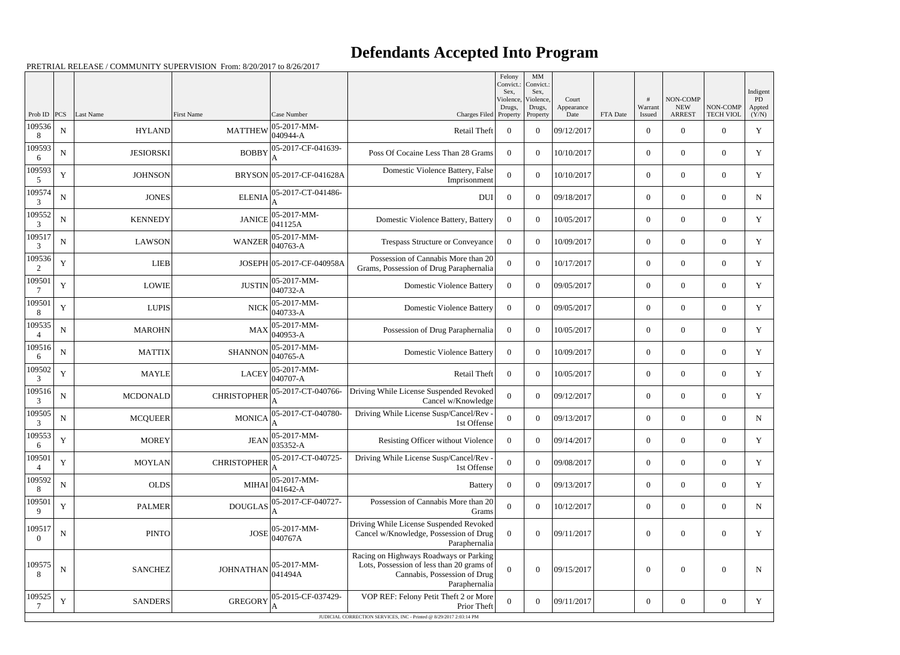## **Defendants Accepted Into Program**

PRETRIAL RELEASE / COMMUNITY SUPERVISION From: 8/20/2017 to 8/26/2017

|                          |             |                  |                    |                                 |                                                                                                                                      | Felony<br>Convict.:<br>Sex.     | $\mathbf{M}\mathbf{M}$<br>Convict.:<br>Sex, |                             |          |                   |                                         |                              | Indigent              |
|--------------------------|-------------|------------------|--------------------|---------------------------------|--------------------------------------------------------------------------------------------------------------------------------------|---------------------------------|---------------------------------------------|-----------------------------|----------|-------------------|-----------------------------------------|------------------------------|-----------------------|
| Prob ID                  | <b>PCS</b>  | <b>Last Name</b> | <b>First Name</b>  | Case Number                     | Charges Filed                                                                                                                        | Violence,<br>Drugs,<br>Property | Violence,<br>Drugs,<br>Property             | Court<br>Appearance<br>Date | FTA Date | Warrant<br>Issued | NON-COMP<br><b>NEW</b><br><b>ARREST</b> | NON-COMP<br><b>TECH VIOL</b> | PD<br>Appted<br>(Y/N) |
| 109536<br>8              | ${\bf N}$   | <b>HYLAND</b>    | <b>MATTHEW</b>     | 05-2017-MM-<br>$ 040944 - A$    | Retail Theft                                                                                                                         | $\overline{0}$                  | $\theta$                                    | 09/12/2017                  |          | $\overline{0}$    | $\overline{0}$                          | $\overline{0}$               | $\mathbf Y$           |
| 109593<br>6              | $\mathbf N$ | <b>JESIORSKI</b> | <b>BOBBY</b>       | 05-2017-CF-041639-              | Poss Of Cocaine Less Than 28 Grams                                                                                                   | $\Omega$                        | $\Omega$                                    | 10/10/2017                  |          | $\overline{0}$    | $\overline{0}$                          | $\overline{0}$               | Y                     |
| 109593<br>5              | $\mathbf Y$ | <b>JOHNSON</b>   |                    | BRYSON 05-2017-CF-041628A       | Domestic Violence Battery, False<br>Imprisonment                                                                                     | $\Omega$                        | $\theta$                                    | 10/10/2017                  |          | $\overline{0}$    | $\overline{0}$                          | $\overline{0}$               | Y                     |
| 109574<br>3              | $\mathbf N$ | <b>JONES</b>     | <b>ELENIA</b>      | 05-2017-CT-041486-              | <b>DUI</b>                                                                                                                           | $\overline{0}$                  | $\Omega$                                    | 09/18/2017                  |          | $\overline{0}$    | $\overline{0}$                          | $\overline{0}$               | $\mathbf N$           |
| 109552<br>3              | ${\bf N}$   | <b>KENNEDY</b>   | <b>JANICE</b>      | $ 05 - 2017 - MM -$<br> 041125A | Domestic Violence Battery, Battery                                                                                                   | $\Omega$                        | $\theta$                                    | 10/05/2017                  |          | $\overline{0}$    | $\theta$                                | $\overline{0}$               | $\mathbf Y$           |
| 109517<br>3              | $\mathbf N$ | <b>LAWSON</b>    | <b>WANZER</b>      | $ 05-2017-MM-$<br>$040763 - A$  | Trespass Structure or Conveyance                                                                                                     | $\Omega$                        | $\Omega$                                    | 10/09/2017                  |          | $\overline{0}$    | $\overline{0}$                          | $\overline{0}$               | Y                     |
| 109536<br>2              | $\mathbf Y$ | <b>LIEB</b>      |                    | JOSEPH 05-2017-CF-040958A       | Possession of Cannabis More than 20<br>Grams, Possession of Drug Paraphernalia                                                       | $\theta$                        | $\theta$                                    | 10/17/2017                  |          | $\overline{0}$    | $\overline{0}$                          | $\overline{0}$               | Y                     |
| 109501                   | $\mathbf Y$ | <b>LOWIE</b>     | <b>JUSTIN</b>      | $ 05-2017-MM-$<br>$040732-A$    | <b>Domestic Violence Battery</b>                                                                                                     | $\Omega$                        | $\theta$                                    | 09/05/2017                  |          | $\overline{0}$    | $\overline{0}$                          | $\overline{0}$               | Y                     |
| 109501<br>8              | $\mathbf Y$ | <b>LUPIS</b>     | <b>NICK</b>        | $ 05-2017-MM-$<br>$ 040733 - A$ | <b>Domestic Violence Battery</b>                                                                                                     | $\Omega$                        | $\theta$                                    | 09/05/2017                  |          | $\overline{0}$    | $\overline{0}$                          | $\overline{0}$               | Y                     |
| 109535                   | $\mathbf N$ | <b>MAROHN</b>    | <b>MAX</b>         | $ 05-2017-MM-$<br>$040953 - A$  | Possession of Drug Paraphernalia                                                                                                     | $\overline{0}$                  | $\theta$                                    | 10/05/2017                  |          | $\overline{0}$    | $\overline{0}$                          | $\overline{0}$               | $\mathbf Y$           |
| 109516<br>6              | ${\bf N}$   | <b>MATTIX</b>    | <b>SHANNON</b>     | $ 05-2017-MM-$<br>$ 040765 - A$ | <b>Domestic Violence Battery</b>                                                                                                     | $\overline{0}$                  | $\theta$                                    | 10/09/2017                  |          | $\overline{0}$    | $\overline{0}$                          | $\overline{0}$               | $\mathbf Y$           |
| 109502<br>3              | Y           | <b>MAYLE</b>     | <b>LACEY</b>       | $ 05-2017-MM-$<br>$040707 - A$  | <b>Retail Theft</b>                                                                                                                  | $\overline{0}$                  | $\theta$                                    | 10/05/2017                  |          | $\overline{0}$    | $\overline{0}$                          | $\overline{0}$               | Y                     |
| 109516<br>3              | ${\bf N}$   | <b>MCDONALD</b>  | <b>CHRISTOPHER</b> | 05-2017-CT-040766-<br>A         | Driving While License Suspended Revoked<br>Cancel w/Knowledge                                                                        | $\Omega$                        | $\Omega$                                    | 09/12/2017                  |          | $\overline{0}$    | $\overline{0}$                          | $\overline{0}$               | Y                     |
| 109505<br>3              | $\mathbf N$ | <b>MCQUEER</b>   | <b>MONICA</b>      | 05-2017-CT-040780-              | Driving While License Susp/Cancel/Rev -<br>1st Offense                                                                               | $\Omega$                        | $\theta$                                    | 09/13/2017                  |          | $\overline{0}$    | $\overline{0}$                          | $\overline{0}$               | N                     |
| 109553<br>6              | $\mathbf Y$ | <b>MOREY</b>     |                    | JEAN 05-2017-MM-<br>035352-A    | Resisting Officer without Violence                                                                                                   | $\overline{0}$                  | $\overline{0}$                              | 09/14/2017                  |          | $\mathbf{0}$      | $\overline{0}$                          | $\boldsymbol{0}$             | $\mathbf Y$           |
| 109501                   | $\mathbf Y$ | <b>MOYLAN</b>    | <b>CHRISTOPHER</b> | 05-2017-CT-040725-              | Driving While License Susp/Cancel/Rev -<br>1st Offense                                                                               | $\overline{0}$                  | $\overline{0}$                              | 09/08/2017                  |          | $\overline{0}$    | $\boldsymbol{0}$                        | $\boldsymbol{0}$             | Y                     |
| 109592<br>8              | ${\bf N}$   | <b>OLDS</b>      | <b>MIHAI</b>       | $ 05-2017-MM-$<br>$ 041642-A$   | Battery                                                                                                                              | $\boldsymbol{0}$                | $\boldsymbol{0}$                            | 09/13/2017                  |          | $\overline{0}$    | $\overline{0}$                          | $\boldsymbol{0}$             | Y                     |
| 109501<br>9              | $\mathbf Y$ | <b>PALMER</b>    | <b>DOUGLAS</b>     | 05-2017-CF-040727-              | Possession of Cannabis More than 20<br>Grams                                                                                         | $\mathbf{0}$                    | $\overline{0}$                              | 10/12/2017                  |          | $\overline{0}$    | $\boldsymbol{0}$                        | $\boldsymbol{0}$             | $\mathbf N$           |
| 109517<br>$\overline{0}$ | ${\bf N}$   | <b>PINTO</b>     | <b>JOSE</b>        | $ 05 - 2017 - MM -$<br>040767A  | Driving While License Suspended Revoked<br>Cancel w/Knowledge, Possession of Drug<br>Paraphernalia                                   | $\theta$                        | $\boldsymbol{0}$                            | 09/11/2017                  |          | $\boldsymbol{0}$  | $\boldsymbol{0}$                        | $\boldsymbol{0}$             | Y                     |
| 109575<br>8              | $\mathbf N$ | <b>SANCHEZ</b>   | <b>JOHNATHAN</b>   | $ 05-2017-MM-$<br> 041494A      | Racing on Highways Roadways or Parking<br>Lots, Possession of less than 20 grams of<br>Cannabis, Possession of Drug<br>Paraphernalia | $\mathbf{0}$                    | $\overline{0}$                              | 09/15/2017                  |          | $\overline{0}$    | $\boldsymbol{0}$                        | $\boldsymbol{0}$             | $\mathbf N$           |
| 109525                   | $\mathbf Y$ | <b>SANDERS</b>   | <b>GREGORY</b>     | 05-2015-CF-037429-<br>A         | VOP REF: Felony Petit Theft 2 or More<br>Prior Theft                                                                                 | $\mathbf{0}$                    | $\boldsymbol{0}$                            | 09/11/2017                  |          | $\boldsymbol{0}$  | $\boldsymbol{0}$                        | $\boldsymbol{0}$             | $\mathbf Y$           |
|                          |             |                  |                    |                                 | JUDICIAL CORRECTION SERVICES, INC - Printed @ 8/29/2017 2:03:14 PM                                                                   |                                 |                                             |                             |          |                   |                                         |                              |                       |